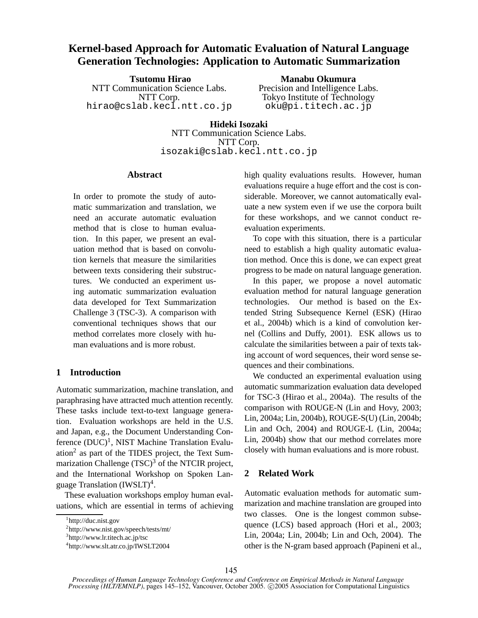# **Kernel-based Approach for Automatic Evaluation of Natural Language Generation Technologies: Application to Automatic Summarization**

**Tsutomu Hirao** NTT Communication Science Labs. NTT Corp. hirao@cslab.kecl.ntt.co.jp

**Manabu Okumura** Precision and Intelligence Labs. Tokyo Institute of Technology oku@pi.titech.ac.jp

**Hideki Isozaki** NTT Communication Science Labs. NTT Corp. isozaki@cslab.kecl.ntt.co.jp

#### **Abstract**

In order to promote the study of automatic summarization and translation, we need an accurate automatic evaluation method that is close to human evaluation. In this paper, we present an evaluation method that is based on convolution kernels that measure the similarities between texts considering their substructures. We conducted an experiment using automatic summarization evaluation data developed for Text Summarization Challenge 3 (TSC-3). A comparison with conventional techniques shows that our method correlates more closely with human evaluations and is more robust.

# **1 Introduction**

Automatic summarization, machine translation, and paraphrasing have attracted much attention recently. These tasks include text-to-text language generation. Evaluation workshops are held in the U.S. and Japan, e.g., the Document Understanding Conference (DUC)<sup>1</sup>, NIST Machine Translation Evaluation<sup>2</sup> as part of the TIDES project, the Text Summarization Challenge  $(TSC)^3$  of the NTCIR project, and the International Workshop on Spoken Language Translation (IWSLT)<sup>4</sup>.

These evaluation workshops employ human evaluations, which are essential in terms of achieving high quality evaluations results. However, human evaluations require a huge effort and the cost is considerable. Moreover, we cannot automatically evaluate a new system even if we use the corpora built for these workshops, and we cannot conduct reevaluation experiments.

To cope with this situation, there is a particular need to establish a high quality automatic evaluation method. Once this is done, we can expect great progress to be made on natural language generation.

In this paper, we propose a novel automatic evaluation method for natural language generation technologies. Our method is based on the Extended String Subsequence Kernel (ESK) (Hirao et al., 2004b) which is a kind of convolution kernel (Collins and Duffy, 2001). ESK allows us to calculate the similarities between a pair of texts taking account of word sequences, their word sense sequences and their combinations.

We conducted an experimental evaluation using automatic summarization evaluation data developed for TSC-3 (Hirao et al., 2004a). The results of the comparison with ROUGE-N (Lin and Hovy, 2003; Lin, 2004a; Lin, 2004b), ROUGE-S(U) (Lin, 2004b; Lin and Och, 2004) and ROUGE-L (Lin, 2004a; Lin, 2004b) show that our method correlates more closely with human evaluations and is more robust.

# **2 Related Work**

Automatic evaluation methods for automatic summarization and machine translation are grouped into two classes. One is the longest common subsequence (LCS) based approach (Hori et al., 2003; Lin, 2004a; Lin, 2004b; Lin and Och, 2004). The other is the N-gram based approach (Papineni et al.,

<sup>1</sup> http://duc.nist.gov

<sup>2</sup> http://www.nist.gov/speech/tests/mt/

<sup>3</sup> http://www.lr.titech.ac.jp/tsc

<sup>4</sup> http://www.slt.atr.co.jp/IWSLT2004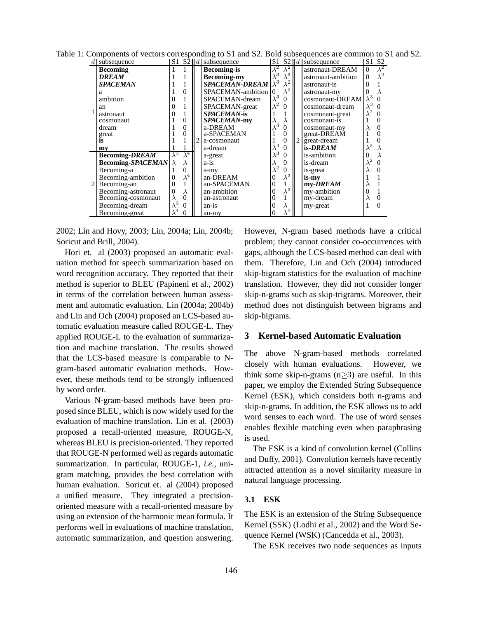| subsequence              |                         |                | S1 S2   d   subsequence |             |                     |   | S1 S2 $\ d\ $ subsequence | S1               | S <sub>2</sub>         |
|--------------------------|-------------------------|----------------|-------------------------|-------------|---------------------|---|---------------------------|------------------|------------------------|
| <b>Becoming</b>          |                         |                | <b>Becoming-is</b>      |             | $\bar{\lambda}^2$ ' |   | astronaut-DREAM           | $\Omega$         | $\overline{\lambda}^2$ |
| DREAM                    |                         |                | <b>Becoming-my</b>      |             | $\lambda^3$         |   | astronaut-ambition        |                  | $\lambda^2$            |
| <b>SPACEMAN</b>          |                         |                | <b>SPACEMAN-DREAM</b>   | $\lambda^3$ | $\lambda^2$         |   | astronaut-is              |                  |                        |
| a                        |                         | 0              | SPACEMAN-ambition       |             | $\lambda^2$         |   | astronaut-my              |                  |                        |
| ambition                 |                         |                | SPACEMAN-dream          | $\sqrt{3}$  |                     |   | cosmonaut-DREAM           | $\lambda^3$      |                        |
| an                       |                         |                | SPACEMAN-great          |             | 0                   |   | cosmonaut-dream           | $\lambda^3$      | 0                      |
| astronaut                |                         |                | <b>SPACEMAN-is</b>      |             |                     |   | cosmonaut-great           | $\lambda^2$      | $\Omega$               |
| cosmonaut                |                         | $\overline{0}$ | <i>SPACEMAN-my</i>      |             |                     |   | cosmonaut-is              |                  |                        |
| dream                    |                         | 0              | a-DREAM                 |             | 0                   |   | cosmonaut-my              |                  | 0                      |
| great                    |                         | 0              | a-SPACEMAN              |             | $\theta$            |   | great-DREAM               |                  |                        |
| is                       |                         |                | a-cosmonaut             |             | $\theta$            | 2 | great-dream               |                  |                        |
| mv                       |                         |                | a-dream                 |             | $\Omega$            |   | is-DREAM                  |                  |                        |
| <b>Becoming-DREAM</b>    | $\bar{\lambda}^{\circ}$ | $\lambda^4$    | a-great                 |             | 0                   |   | is-ambition               |                  |                        |
| <b>Becoming-SPACEMAN</b> |                         | $\lambda$      | $a-1s$                  |             |                     |   | is-dream                  | $\boldsymbol{2}$ | $\Omega$               |
| Becoming-a               |                         | 0              | a-my                    |             | 0                   |   | is-great                  |                  |                        |
| Becoming-ambition        |                         | $\lambda^4$    | an-DREAM                |             | 3<br>$\Lambda$      |   | is-my                     |                  |                        |
| Becoming-an              |                         |                | an-SPACEMAN             |             |                     |   | my-DREAM                  |                  |                        |
| Becoming-astronaut       |                         | λ              | an-ambition             |             | $\sqrt{3}$          |   | my-ambition               |                  |                        |
| Becoming-cosmonaut       |                         | $\theta$       | an-astronaut            |             |                     |   | my-dream                  |                  | 0                      |
| Becoming-dream           |                         | 0              | $an-is$                 |             | $\lambda$           |   | my-great                  |                  | $\Omega$               |
| Becoming-great           | $\lambda^4$             | $\theta$       | an-my                   |             | $\lambda^2$         |   |                           |                  |                        |

Table 1: Components of vectors corresponding to S1 and S2. Bold subsequences are common to S1 and S2.

2002; Lin and Hovy, 2003; Lin, 2004a; Lin, 2004b; Soricut and Brill, 2004).

Hori et. al (2003) proposed an automatic evaluation method for speech summarization based on word recognition accuracy. They reported that their method is superior to BLEU (Papineni et al., 2002) in terms of the correlation between human assessment and automatic evaluation. Lin (2004a; 2004b) and Lin and Och (2004) proposed an LCS-based automatic evaluation measure called ROUGE-L. They applied ROUGE-L to the evaluation of summarization and machine translation. The results showed that the LCS-based measure is comparable to Ngram-based automatic evaluation methods. However, these methods tend to be strongly influenced by word order.

Various N-gram-based methods have been proposed since BLEU, which is now widely used for the evaluation of machine translation. Lin et al. (2003) proposed a recall-oriented measure, ROUGE-N, whereas BLEU is precision-oriented. They reported that ROUGE-N performed well as regards automatic summarization. In particular, ROUGE-1, *i.e.*, unigram matching, provides the best correlation with human evaluation. Soricut et. al (2004) proposed a unified measure. They integrated a precisionoriented measure with a recall-oriented measure by using an extension of the harmonic mean formula. It performs well in evaluations of machine translation, automatic summarization, and question answering.

However, N-gram based methods have a critical problem; they cannot consider co-occurrences with gaps, although the LCS-based method can deal with them. Therefore, Lin and Och (2004) introduced skip-bigram statistics for the evaluation of machine translation. However, they did not consider longer skip-n-grams such as skip-trigrams. Moreover, their method does not distinguish between bigrams and skip-bigrams.

# **3 Kernel-based Automatic Evaluation**

The above N-gram-based methods correlated closely with human evaluations. However, we think some skip-n-grams  $(n \geq 3)$  are useful. In this paper, we employ the Extended String Subsequence Kernel (ESK), which considers both n-grams and skip-n-grams. In addition, the ESK allows us to add word senses to each word. The use of word senses enables flexible matching even when paraphrasing is used.

The ESK is a kind of convolution kernel (Collins and Duffy, 2001). Convolution kernels have recently attracted attention as a novel similarity measure in natural language processing.

# **3.1 ESK**

The ESK is an extension of the String Subsequence Kernel (SSK) (Lodhi et al., 2002) and the Word Sequence Kernel (WSK) (Cancedda et al., 2003).

The ESK receives two node sequences as inputs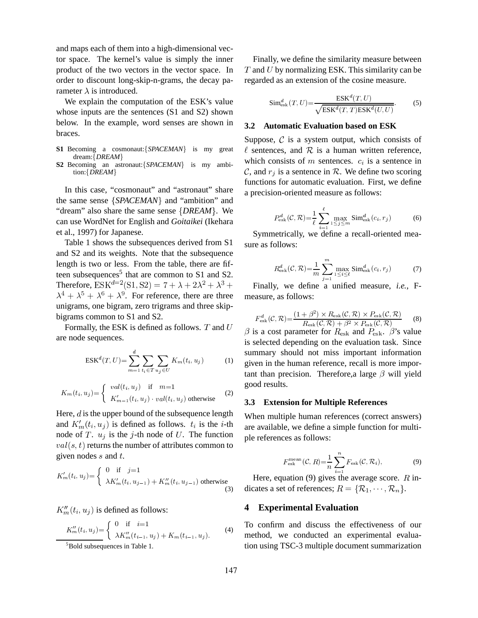and maps each of them into a high-dimensional vector space. The kernel's value is simply the inner product of the two vectors in the vector space. In order to discount long-skip-n-grams, the decay parameter  $\lambda$  is introduced.

We explain the computation of the ESK's value whose inputs are the sentences (S1 and S2) shown below. In the example, word senses are shown in braces.

- S1 Becoming a cosmonaut: {SPACEMAN} is my great dream: *DREAM*
- **S2** Becoming an astronaut: {*SPACEMAN*} is my ambition: *DREAM*

In this case, "cosmonaut" and "astronaut" share the same sense  $\{SPACEMAN\}$  and "ambition" and "dream" also share the same sense *DREAM*. We can use WordNet for English and *Goitaikei* (Ikehara et al., 1997) for Japanese.

Table 1 shows the subsequences derived from S1 and S2 and its weights. Note that the subsequence length is two or less. From the table, there are fifteen subsequences<sup>5</sup> that are common to S1 and S2. Therefore,  $ESK^{d=2}(S1, S2) = 7 + \lambda + 2\lambda^2 + \lambda^3 +$  $\lambda^4 + \lambda^5 + \lambda^6 + \lambda^9$ . For reference, there are three unigrams, one bigram, zero trigrams and three skipbigrams common to S1 and S2.

Formally, the ESK is defined as follows.  $T$  and  $U$ are node sequences.

$$
ESK^{d}(T, U) = \sum_{m=1}^{d} \sum_{t_i \in T} \sum_{u_j \in U} K_m(t_i, u_j)
$$
 (1)

$$
K_m(t_i, u_j) = \begin{cases} \text{val}(t_i, u_j) & \text{if } m = 1\\ K'_{m-1}(t_i, u_j) \cdot \text{val}(t_i, u_j) & \text{otherwise} \end{cases} \tag{2}
$$

Here,  $d$  is the upper bound of the subsequence length and  $K_m'(t_i, u_j)$  is defined as follows.  $t_i$  is the *i*-th node of T.  $u_i$  is the j-th node of U. The function  $val(s, t)$  returns the number of attributes common to given nodes  $s$  and  $t$ .

$$
K'_{m}(t_{i}, u_{j}) = \begin{cases} 0 & \text{if } j=1\\ \lambda K'_{m}(t_{i}, u_{j-1}) + K''_{m}(t_{i}, u_{j-1}) & \text{otherwise} \end{cases}
$$
(3)

 $K''_m(t_i, u_i)$  is defined as follows:

$$
K_m''(t_i, u_j) = \begin{cases} 0 & \text{if } i = 1\\ \lambda K_m''(t_{i-1}, u_j) + K_m(t_{i-1}, u_j). \end{cases}
$$
 (4)  
<sup>5</sup>Bold subsequences in Table 1.

Finally, we define the similarity measure between  $T$  and  $U$  by normalizing ESK. This similarity can be regarded as an extension of the cosine measure.

$$
\text{Sim}_{\text{esk}}^d(T, U) = \frac{\text{ESK}^d(T, U)}{\sqrt{\text{ESK}^d(T, T)\text{ESK}^d(U, U)}}.
$$
 (5)

# **3.2 Automatic Evaluation based on ESK**

Suppose,  $\mathcal C$  is a system output, which consists of  $\ell$  sentences, and  $\mathcal R$  is a human written reference, which consists of  $m$  sentences.  $c_i$  is a sentence in  $\mathcal{C}$ , and  $r_i$  is a sentence in  $\mathcal{R}$ . We define two scoring functions for automatic evaluation. First, we define a precision-oriented measure as follows:

$$
P_{\text{esk}}^d(\mathcal{C}, \mathcal{R}) = \frac{1}{\ell} \sum_{i=1}^{\ell} \max_{1 \le j \le m} \text{Sim}_{\text{esk}}^d(c_i, r_j)
$$
(6)

Symmetrically, we define a recall-oriented measure as follows:

$$
R_{\text{esk}}^d(\mathcal{C}, \mathcal{R}) = \frac{1}{m} \sum_{j=1}^m \max_{1 \le i \le \ell} \text{Sim}_{\text{esk}}^d(c_i, r_j)
$$
(7)

Finally, we define a unified measure, *i.e.*, Fmeasure, as follows:

$$
F_{\rm esk}^d(\mathcal{C}, \mathcal{R}) = \frac{(1 + \beta^2) \times R_{\rm esk}(\mathcal{C}, \mathcal{R}) \times P_{\rm esk}(\mathcal{C}, \mathcal{R})}{R_{\rm esk}(\mathcal{C}, \mathcal{R}) + \beta^2 \times P_{\rm esk}(\mathcal{C}, \mathcal{R})}
$$
(8)

 $\beta$  is a cost parameter for  $R_{\text{esk}}$  and  $P_{\text{esk}}$ .  $\beta$ 's value is selected depending on the evaluation task. Since summary should not miss important information given in the human reference, recall is more important than precision. Therefore, a large  $\beta$  will yield good results.

## **3.3 Extension for Multiple References**

When multiple human references (correct answers) are available, we define a simple function for multiple references as follows:

$$
F_{\text{esk}}^{\text{mean}}(\mathcal{C}, R) = \frac{1}{n} \sum_{i=1}^{n} F_{\text{esk}}(\mathcal{C}, \mathcal{R}_i), \tag{9}
$$

Here, equation (9) gives the average score.  *in*dicates a set of references;  $R = {\mathcal{R}_1, \cdots, \mathcal{R}_n}$ .

# **4 Experimental Evaluation**

To confirm and discuss the effectiveness of our method, we conducted an experimental evaluation using TSC-3 multiple document summarization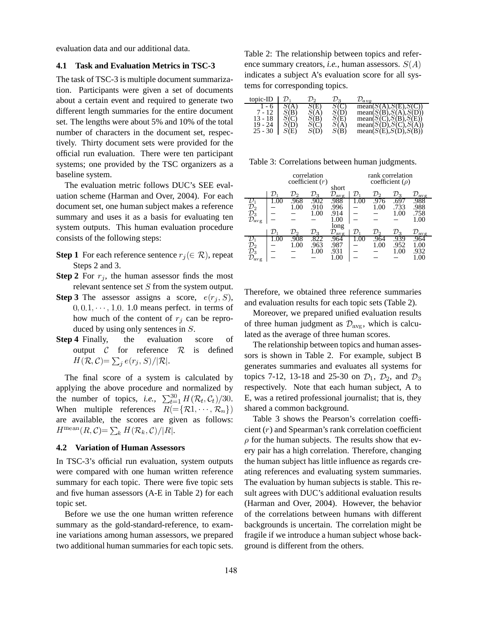evaluation data and our additional data.

## **4.1 Task and Evaluation Metrics in TSC-3**

The task of TSC-3 is multiple document summarization. Participants were given a set of documents about a certain event and required to generate two different length summaries for the entire document set. The lengths were about 5% and 10% of the total number of characters in the document set, respectively. Thirty document sets were provided for the official run evaluation. There were ten participant systems; one provided by the TSC organizers as a baseline system.

The evaluation metric follows DUC's SEE evaluation scheme (Harman and Over, 2004). For each document set, one human subject makes a reference summary and uses it as a basis for evaluating ten system outputs. This human evaluation procedure consists of the following steps:

- **Step 1** For each reference sentence  $r_i \in \mathcal{R}$ , repeat Steps 2 and 3.
- **Step 2** For  $r_i$ , the human assessor finds the most relevant sentence set  $S$  from the system output.
- **Step 3** The assessor assigns a score,  $e(r_i, S)$ ,  $0, 0.1, \dots, 1.0$ . 1.0 means perfect. in terms of how much of the content of  $r_i$  can be reproduced by using only sentences in  $S$ .
- **Step 4** Finally, the evaluation score of output  $C$  for reference  $R$  is defined  $H(\mathcal{R}, \mathcal{C}) = \sum_i e(r_i, S)/|\mathcal{R}|.$

The final score of a system is calculated by applying the above procedure and normalized by the number of topics, *i.e.*,  $\sum_{t=1}^{30} H(R_t, C_t)/30$ . E. When multiple references  $R(=\{\mathcal{R}1,\cdots,\mathcal{R}_n\})$ are available, the scores are given as follows:  $H^{\text{mean}}(R,\mathcal{C}) = \sum_{k} H(\mathcal{R}_k,\mathcal{C})/|R|.$ 

#### **4.2 Variation of Human Assessors**

In TSC-3's official run evaluation, system outputs were compared with one human written reference summary for each topic. There were five topic sets and five human assessors (A-E in Table 2) for each topic set.

Before we use the one human written reference summary as the gold-standard-reference, to examine variations among human assessors, we prepared two additional human summaries for each topic sets. Table 2: The relationship between topics and reference summary creators, *i.e.*, human assessors.  $S(A)$ indicates a subject A's evaluation score for all systems for corresponding topics.

| topic-ID  |  | 23        | 'a v o                                                 |
|-----------|--|-----------|--------------------------------------------------------|
|           |  |           | mean(                                                  |
| 7 - 12    |  |           | mean(S(B), S(A), S(D))                                 |
| 13 - 18   |  | S(E)      | mean(S(C), S(B), S(E))                                 |
| $19 -$    |  |           |                                                        |
| $25 - 30$ |  | $\Im$ (B) | mean $(S(D), S(C), S(A))$<br>mean $(S(E), S(D), S(B))$ |

Table 3: Correlations between human judgments.

|                         |                 |                 | correlation       |                                    |                 |              | rank correlation     |                         |
|-------------------------|-----------------|-----------------|-------------------|------------------------------------|-----------------|--------------|----------------------|-------------------------|
|                         |                 |                 | coefficient $(r)$ |                                    |                 |              | coefficient $(\rho)$ |                         |
|                         |                 |                 |                   | short                              |                 |              |                      |                         |
|                         | $\mathcal{D}_1$ | ${\cal D}_2$    | $\mathcal{D}_3$   | $\mathcal{D}_{\rm avg}$            | $\mathcal{D}_1$ | ${\cal D}_2$ | $\mathcal{D}_3$      | $\mathcal{D}_{\rm avg}$ |
|                         | 1.UU            | .968            | .902              | .988                               | 1.UU            | .976         |                      | .988                    |
| $\mathcal{D}_2$         |                 | 1.00            | .910              | .996                               |                 | 1.00         | .733                 | .988                    |
| $\mathcal{D}_3$         |                 |                 | 1.00              | .914                               |                 |              | 1.00                 | .758                    |
| ${\cal D}_{\rm avg}$    |                 |                 |                   | 1.00                               |                 |              |                      | 1.00                    |
|                         |                 |                 |                   | long                               |                 |              |                      |                         |
|                         | ${\cal D}$ 1    | $\mathcal{D}_2$ | $\mathcal{D}_3$   | ${\cal D}_{\underline{{\rm avg}}}$ | $\mathcal{D}_1$ | D2           | $\mathcal{D}_3$      | $\mathcal{D}_{\rm avg}$ |
|                         |                 | .908            |                   | 964.                               |                 | 964          | .939                 | 964                     |
| ${\cal D}_2$            |                 | 1.00            | .963              | .987                               |                 | 1.00         | .952                 | 1.00                    |
| $\mathcal{D}_3$         |                 |                 | 1.00              | .931                               |                 |              | 1.00                 | .932                    |
| $\mathcal{D}_{\rm avg}$ |                 |                 |                   | 1.00                               |                 |              |                      | 1.00                    |

Therefore, we obtained three reference summaries and evaluation results for each topic sets (Table 2).

Moreover, we prepared unified evaluation results of three human judgment as  $\mathcal{D}_{\text{avg}}$ , which is calculated as the average of three human scores.

 <sup>¼</sup> E, was a retired professional journalist; that is, they The relationship between topics and human assessors is shown in Table 2. For example, subject B generates summaries and evaluates all systems for topics 7-12, 13-18 and 25-30 on  $\mathcal{D}_1$ ,  $\mathcal{D}_2$ , and  $\mathcal{D}_3$  . respectively. Note that each human subject, A to shared a common background.

Table 3 shows the Pearson's correlation coefficient  $(r)$  and Spearman's rank correlation coefficient  $\rho$  for the human subjects. The results show that every pair has a high correlation. Therefore, changing the human subject has little influence as regards creating references and evaluating system summaries. The evaluation by human subjects is stable. This result agrees with DUC's additional evaluation results (Harman and Over, 2004). However, the behavior of the correlations between humans with different backgrounds is uncertain. The correlation might be fragile if we introduce a human subject whose background is different from the others.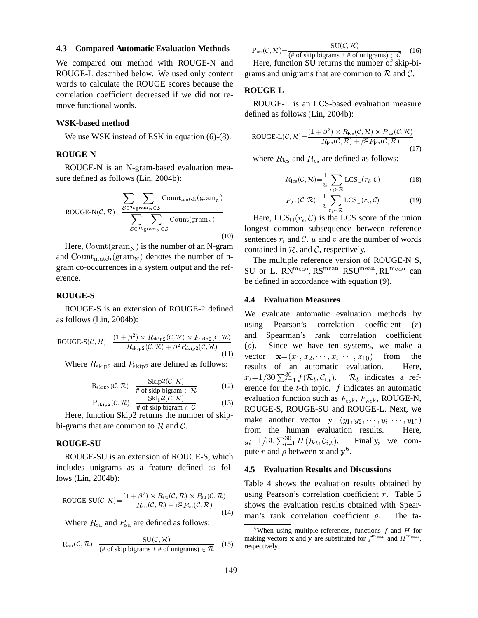#### **4.3 Compared Automatic Evaluation Methods**

We compared our method with ROUGE-N and ROUGE-L described below. We used only content words to calculate the ROUGE scores because the correlation coefficient decreased if we did not remove functional words.

#### **WSK-based method**

We use WSK instead of ESK in equation  $(6)-(8)$ .

# **ROUGE-N**

ROUGE-N is an N-gram-based evaluation measure defined as follows (Lin, 2004b):

$$
ROUGE-N(C, R) = \frac{\sum_{S \in \mathcal{R}} \sum_{\text{gram}_N \in S} Count_{match}(\text{gram}_N)}{\sum_{S \in \mathcal{R}} \sum_{\text{gram}_N \in S} Count(\text{gram}_N)}
$$

Here, Count ( $\text{gram}_N$ ) is the number of an N-gram and  $Count_{match}(gram_N)$  denotes the number of ngram co-occurrences in a system output and the reference.

### **ROUGE-S**

ROUGE-S is an extension of ROUGE-2 defined as follows (Lin, 2004b):

$$
\text{ROUGE-S}(\mathcal{C}, \mathcal{R}) = \frac{(1+\beta^2) \times R_{\text{skip2}}(\mathcal{C}, \mathcal{R}) \times P_{\text{skip2}}(\mathcal{C}, \mathcal{R})}{R_{\text{skip2}}(\mathcal{C}, \mathcal{R}) + \beta^2 P_{\text{skip2}}(\mathcal{C}, \mathcal{R})} \qquad \begin{array}{c}\n\text{at} \\
(\mathcal{C}, \mathcal{R}) \\
\text{with} \\
\mathcal{C} \\
\text{with } \mathcal{C} \\
\text{with } \mathcal{C} \\
\text{with } \mathcal{C} \\
\text{with } \mathcal{C} \\
\text{with } \mathcal{C} \\
\text{with } \mathcal{C} \\
\text{with } \mathcal{C} \\
\text{with } \mathcal{C} \\
\text{with } \mathcal{C} \\
\text{with } \mathcal{C} \\
\text{with } \mathcal{C} \\
\text{with } \mathcal{C} \\
\text{with } \mathcal{C} \\
\text{with } \mathcal{C} \\
\text{with } \mathcal{C} \\
\text{with } \mathcal{C} \\
\text{with } \mathcal{C} \\
\text{with } \mathcal{C} \\
\text{with } \mathcal{C} \\
\text{with } \mathcal{C} \\
\text{with } \mathcal{C} \\
\text{with } \mathcal{C} \\
\text{with } \mathcal{C} \\
\text{with } \mathcal{C} \\
\text{with } \mathcal{C} \\
\text{with } \mathcal{C} \\
\text{with } \mathcal{C} \\
\text{with } \mathcal{C} \\
\text{with } \mathcal{C} \\
\text{with } \mathcal{C} \\
\text{with } \mathcal{C} \\
\text{with } \mathcal{C} \\
\text{with } \mathcal{C} \\
\text{with } \mathcal{C} \\
\text{with } \mathcal{C} \\
\text{with } \mathcal{C} \\
\text{with } \mathcal{C} \\
\text{with } \mathcal{C} \\
\text{with } \mathcal{C} \\
\text{with } \mathcal{C} \\
\text{with } \mathcal{C} \\
\text{with } \mathcal{C} \\
\text{with } \mathcal{C} \\
\text{with } \mathcal{C} \\
\text{with } \mathcal{C} \\
\text{with } \mathcal{C} \\
\text{with } \mathcal{C} \\
\text{with } \mathcal{C} \\
\text{with } \mathcal{C} \\
\text{with } \mathcal{
$$

Where  $R_{skip2}$  and  $P_{skip2}$  are defined as follows:

$$
R_{skip2}(\mathcal{C}, \mathcal{R}) = \frac{ \text{skip2}(\mathcal{C}, \mathcal{R})}{\# \text{ of skip bigram} \in \mathcal{R}} \tag{12}
$$

$$
P_{skip2}(\mathcal{C}, \mathcal{R}) = \frac{SNP2(C, \mathcal{R})}{\# \text{ of skip bigram } \in \mathcal{C}} \tag{13}
$$

Here, function Skip2 returns the number of skipbi-grams that are common to  $R$  and  $C$ .

### **ROUGE-SU**

ROUGE-SU is an extension of ROUGE-S, which includes unigrams as a feature defined as follows (Lin, 2004b):

ROUGE-SU(
$$
C
$$
,  $\mathcal{R}$ ) =  $\frac{(1+\beta^2) \times R_{\text{su}}(\mathcal{C}, \mathcal{R}) \times P_{\text{su}}(\mathcal{C}, \mathcal{R})}{R_{\text{su}}(\mathcal{C}, \mathcal{R}) + \beta^2 P_{\text{su}}(\mathcal{C}, \mathcal{R})}$ us  
(14)

Where  $R_{\rm su}$  and  $P_{\rm su}$  are defined as follows:

$$
R_{su}(\mathcal{C}, \mathcal{R}) = \frac{SU(\mathcal{C}, \mathcal{R})}{(\# \text{ of skip bigrams} + \# \text{ of unigrams}) \in \mathcal{R}} \quad (15)
$$

 $P_{\text{su}}(\mathcal{C}, \mathcal{R}) = \frac{\text{SU}(\mathcal{C}, \mathcal{R})}{(\# \text{ of skip bigrams} + \# \text{ of unigrams}) \in \mathcal{C}}$  (16) (16)

Here, function SU returns the number of skip-bigrams and unigrams that are common to  $R$  and  $C$ .

# **ROUGE-L**

ROUGE-L is an LCS-based evaluation measure defined as follows (Lin, 2004b):

ROUGE-L(
$$
C
$$
,  $\mathcal{R}$ ) =  $\frac{(1+\beta^2) \times R_{\text{les}}(\mathcal{C}, \mathcal{R}) \times P_{\text{les}}(\mathcal{C}, \mathcal{R})}{R_{\text{les}}(\mathcal{C}, \mathcal{R}) + \beta^2 P_{\text{les}}(\mathcal{C}, \mathcal{R})}$  (17)

where  $R_{\text{lcs}}$  and  $P_{\text{lcs}}$  are defined as follows:

$$
R_{\rm lcs}(\mathcal{C}, \mathcal{R}) = \frac{1}{u} \sum_{r_i \in \mathcal{R}} \text{LCS}_{\cup}(r_i, \mathcal{C})
$$
(18)

$$
P_{\text{les}}(\mathcal{C}, \mathcal{R}) = \frac{1}{v} \sum_{r_i \in \mathcal{R}} \text{LCS}_{\cup}(r_i, \mathcal{C}) \tag{19}
$$

Here,  $LCS_{\cup}(r_i, \mathcal{C})$  is the LCS score of the union longest common subsequence between reference sentences  $r_i$  and C. u and v are the number of words contained in  $R$ , and  $C$ , respectively.

The multiple reference version of ROUGE-N S, SU or L,  $RN^{mean}$ ,  $RS^{mean}$ ,  $RSU^{mean}$ ,  $RL^{mean}$  can be defined in accordance with equation (9).

#### **4.4 Evaluation Measures**

 $\overline{R}$  (12) erence for the t-th topic. f indicates an automatic We evaluate automatic evaluation methods by using Pearson's correlation coefficient  $(r)$ and Spearman's rank correlation coefficient  $(\rho)$ . Since we have ten systems, we make a vector  $\mathbf{x} = (x_1, x_2, \cdots, x_i, \cdots, x_{10})$  from from the results of an automatic evaluation. Here,  $x_i = 1/30 \sum_{t=1}^{30} f(R_t, C_{i,t}).$  1 ).  $\mathcal{R}_t$  indicates a refevaluation function such as  $F_{\text{esk}}$ ,  $F_{\text{wsk}}$ , ROUGE-N, ROUGE-S, ROUGE-SU and ROUGE-L. Next, we make another vector  $\mathbf{y} = (y_1, y_2, \cdots, y_i, \cdots, y_{10})$ from the human evaluation results. Here,  $y_i = 1/30 \sum_{t=1}^{50} H(\mathcal{R}_t, C_{i,t}).$  Fina Finally, we compute r and  $\rho$  between x and  $y^6$ .

#### **4.5 Evaluation Results and Discussions**

Table 4 shows the evaluation results obtained by using Pearson's correlation coefficient  $r$ . Table 5 shows the evaluation results obtained with Spearman's rank correlation coefficient  $\rho$ . . The ta-

<sup>&</sup>lt;sup>6</sup>When using multiple references, functions  $f$  and  $H$  for making vectors x and y are substituted for  $f^{\text{mean}}$  and  $H^{\text{mean}}$ , respectively.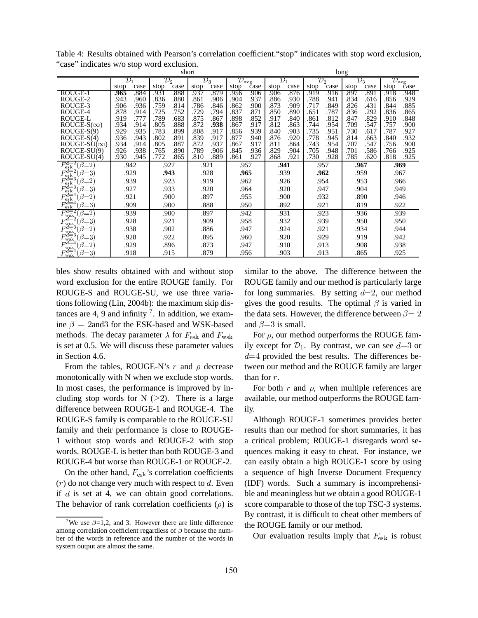| short                                    |                 |      |              |      |                 |              |                         |              | long            |      |                 |              |                 |      |                      |      |  |  |  |      |      |  |
|------------------------------------------|-----------------|------|--------------|------|-----------------|--------------|-------------------------|--------------|-----------------|------|-----------------|--------------|-----------------|------|----------------------|------|--|--|--|------|------|--|
|                                          | $\mathcal{D}_1$ |      | ${\cal D}_2$ |      | $\mathcal{D}_3$ |              | $\mathcal{D}_{\rm avg}$ |              | $\mathcal{D}_1$ |      | $\mathcal{D}_2$ |              | $\mathcal{D}_3$ |      | ${\cal D}_{\rm avg}$ |      |  |  |  |      |      |  |
|                                          | stop            | case | stop         | case | stop            | case         | stop                    | case         | stop            | case | stop            | case         | stop            | case | stop                 | čase |  |  |  |      |      |  |
| ROUGE-1                                  | .965            | .884 | .931         | .888 | .937            | .879         | .956                    | .906         | .906            | .876 | .919            | .916         | .897            | .891 | .918                 | .948 |  |  |  |      |      |  |
| ROUGE-2                                  | .943            | .960 | .836         | .880 | .861            | .906         | .904                    | .937         | .886            | .930 | .788            | .941         | .834            | .616 | .856                 | .929 |  |  |  |      |      |  |
| ROUGE-3                                  | .906            | .936 | .759         | .814 | .786            | .846         | .862                    | .900         | .873            | .909 | .717            | .849         | .826            | .431 | .844                 | .885 |  |  |  |      |      |  |
| ROUGE-4                                  | .878            | .914 | .725         | .752 | .729            | .794         | .837                    | .871         | .850            | .890 | .651            | .787         | .836            | .292 | .836                 | .865 |  |  |  |      |      |  |
| <b>ROUGE-L</b>                           | .919            | .777 | .789         | .683 | .875            | .867         | .898                    | .852         | .917            | .840 | .861            | .812         | .847            | .829 | .910                 | .848 |  |  |  |      |      |  |
| $ROUGE-S(\infty)$                        | .934            | .914 | .805         | .888 | .872            | .938         | .867                    | .917         | .812            | .863 | .744            | .954         | .709            | .547 | .757                 | .900 |  |  |  |      |      |  |
| $ROUGE-S(9)$                             | .929            | .935 | .783         | .899 | .808            | .917         | .856                    | .939         | .840            | .903 | .735            | .951         | .730            | .617 | .787                 | .927 |  |  |  |      |      |  |
| $ROUGE-S(4)$                             | .936            | .943 | .802         | .891 | .839            | .917         | .877                    | .940         | .876            | .920 | .778            | .945         | .814            | .663 | .840                 | .932 |  |  |  |      |      |  |
| $ROUGE-SU(\infty)$                       | .934            | .914 | .805         | .887 | 872             | .937         | .867                    | .917         | .811            | .864 | .743            | .954         | .707            | .547 | .756                 | .900 |  |  |  |      |      |  |
| ROUGE-SU(9)                              | .926<br>.930    | .938 | .765<br>.772 | .890 | .789            | .906<br>.889 | .845                    | .936<br>.927 | .829            | .904 | .705            | .948<br>.928 | .701            | .586 | .766                 | .925 |  |  |  |      |      |  |
| ROUGE-SU(4)                              |                 | .945 |              | .865 | .810            |              | .861                    |              | .868            | .921 | .730            |              | .785            | .620 | .818                 | .925 |  |  |  |      |      |  |
| $F_{\rm esk}^{d=2}$<br>$(\beta = 2)$     | .942            |      | .927         |      | .921            |              | .957                    |              | .941            |      | .957            |              | .967            |      | .969                 |      |  |  |  |      |      |  |
| $F_{\rm esk}^{d=2}$<br>$\beta=3$         | .929            |      | .943         |      | .928            |              | .965                    |              | .939            |      |                 | .962         |                 | .959 | .967                 |      |  |  |  |      |      |  |
| $F^{d=3}$<br>$=2$<br>$_{\rm ejk}$        | .939            |      | .923         |      | .919            |              | .962                    |              | .926            |      | .954            |              | .953            |      |                      | .966 |  |  |  |      |      |  |
| $\vec{F_{\rm esk}^{d=3}}$<br>$\beta = 3$ | .927            |      | .933         |      | .920            |              | .964                    |              | .920            |      | .947            |              | .904            |      | .949                 |      |  |  |  |      |      |  |
| $F_{\rm esk}^{d=4}$<br>β<br>$=2$         | .921            |      | .900         |      | .897            |              | .955                    |              | .900            |      | .932            |              | .890            |      | .946                 |      |  |  |  |      |      |  |
| $F_{\rm esk}^{d=4}$<br>$\beta = 3$       |                 | .909 |              | .900 |                 | .888         |                         | .950         |                 | .892 | .921            |              |                 | .819 | .922                 |      |  |  |  |      |      |  |
| $F_{\rm wsk}^{d=2}$<br>$\beta=2$         |                 | .939 |              | .900 |                 | .897         |                         | .942         |                 | .931 | .923            |              |                 |      |                      |      |  |  |  | .936 | .939 |  |
| $F_{\mathrm{wsk}}^{d=2}$<br>$\beta = 3$  |                 | .928 | .921         |      |                 | .909         | .958                    |              |                 | .932 |                 | .939         |                 | .950 | .950                 |      |  |  |  |      |      |  |
| $F_{\mathrm{wsk}}^{d=3}$                 | .938            |      | .902         |      | .886            | .947         |                         |              | .924            | .921 |                 |              | .934            |      | .944                 |      |  |  |  |      |      |  |
| $F_{\rm wsk}^d$<br>в                     |                 | .928 |              | .922 |                 | .895         |                         | .960         |                 | .920 |                 | .929         |                 | .919 |                      | .942 |  |  |  |      |      |  |
| $F_{\rm wsk}^{d=4}$<br>$\beta=2$         |                 | .929 | .896         |      | .873            |              | .947                    |              | .910            |      | .913            |              | .908            |      | .938                 |      |  |  |  |      |      |  |
| $F^{d=4}$<br>$\beta = 3$<br>wsk          |                 | .918 | .915         |      | .879            |              | .956                    |              | .903            |      | .913            |              | .865            |      |                      | .925 |  |  |  |      |      |  |

Table 4: Results obtained with Pearson's correlation coefficient."stop" indicates with stop word exclusion, "case" indicates w/o stop word exclusion.

bles show results obtained with and without stop word exclusion for the entire ROUGE family. For ROUGE-S and ROUGE-SU, we use three variations following (Lin, 2004b): the maximum skip distances are 4, 9 and infinity  $\frac{7}{1}$ . In addition, we examine  $\beta = 2$ and3 for the ESK-based and WSK-based methods. The decay parameter  $\lambda$  for  $F_{\text{esk}}$  and  $F_{\text{wsk}}$ is set at 0.5. We will discuss these parameter values in Section 4.6.

From the tables, ROUGE-N's r and  $\rho$  decrease monotonically with N when we exclude stop words. In most cases, the performance is improved by including stop words for N  $(\geq 2)$ . There is a large difference between ROUGE-1 and ROUGE-4. The ROUGE-S family is comparable to the ROUGE-SU family and their performance is close to ROUGE-1 without stop words and ROUGE-2 with stop words. ROUGE-L is better than both ROUGE-3 and ROUGE-4 but worse than ROUGE-1 or ROUGE-2.

On the other hand,  $F_{\text{esk}}$ 's correlation coefficients  $(r)$  do not change very much with respect to d. Even if  $d$  is set at 4, we can obtain good correlations. The behavior of rank correlation coefficients  $(\rho)$  is score

similar to the above. The difference between the ROUGE family and our method is particularly large for long summaries. By setting  $d=2$ , our method gives the good results. The optimal  $\beta$  is varied in the data sets. However, the difference between  $\beta = 2$ and  $\beta = 3$  is small.

For  $\rho$ , our method outperforms the ROUGE family except for  $\mathcal{D}_1$ . By contrast, we can see  $d=3$  or  $d=4$  provided the best results. The differences between our method and the ROUGE family are larger than for  $r$ .

For both  $r$  and  $\rho$ , when multiple references are available, our method outperforms the ROUGE family.

Although ROUGE-1 sometimes provides better results than our method for short summaries, it has a critical problem; ROUGE-1 disregards word sequences making it easy to cheat. For instance, we can easily obtain a high ROUGE-1 score by using a sequence of high Inverse Document Frequency (IDF) words. Such a summary is incomprehensible and meaningless but we obtain a good ROUGE-1 score comparable to those of the top TSC-3 systems. By contrast, it is difficult to cheat other members of the ROUGE family or our method.

Our evaluation results imply that  $F_{\text{esk}}$  is robust

We use  $\beta=1,2$ , and 3. However there are little difference among correlation coefficient regardless of  $\beta$  because the number of the words in reference and the number of the words in system output are almost the same.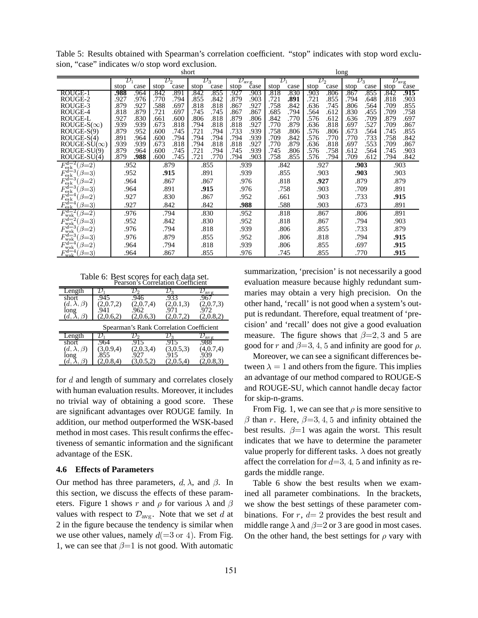| short                                         |                 |              |              |                  |                 |              |                         | long         |                 |              |                 |              |                 |              |              |                                                     |  |
|-----------------------------------------------|-----------------|--------------|--------------|------------------|-----------------|--------------|-------------------------|--------------|-----------------|--------------|-----------------|--------------|-----------------|--------------|--------------|-----------------------------------------------------|--|
|                                               | $\mathcal{D}_1$ |              |              | ${\mathcal D}_2$ | $\mathcal{D}_3$ |              | $\mathcal{D}_{\rm avg}$ |              | $\mathcal{D}_1$ |              | $\mathcal{D}_2$ |              | $\mathcal{D}_3$ |              |              | $\overline{\mathcal{D}_{\text{avg}}}_{\text{case}}$ |  |
|                                               | stop            | case         | stop         | case             | stop            | case         | stop                    | čase         | stop            | case         | stop            | case         | stop            | case         | stop         |                                                     |  |
| ROUGE-1                                       | .988            | .964         | .842         | .891             | .842            | .855         | .927                    | .903         | .818            | .830         | .903            | .806         | .867            | .855         | .842         | .915                                                |  |
| ROUGE-2<br>ROUGE-3                            | .927<br>.879    | .976<br>.927 | .770<br>.588 | .794<br>.697     | .855<br>.818    | .842<br>.818 | .879<br>.867            | .903<br>.927 | .721<br>.758    | .891<br>.842 | .721<br>.636    | .855<br>.745 | .794<br>.806    | .648<br>.564 | .818<br>.709 | .903<br>.855                                        |  |
| ROUGE-4                                       | .818            | .879         | .721         | .697             | .745            | .745         | .867                    | .867         | .685            | .794         | .564            | .612         | .830            | .455         | .709         | .758                                                |  |
| ROUGE-L                                       | .927            | .830         | .661         | .600             | .806            | .818         | .879                    | .806         | .842            | .770         | .576            | .612         | .636            | .709         | .879         | .697                                                |  |
| $ROUGE-S(\infty)$                             | .939            | .939         | .673         | .818             | .794            | .818         | .818                    | .927         | .770            | .879         | .636            | .818         | .697            | .527         | .709         | .867                                                |  |
| $ROUGE-S(9)$                                  | .879            | .952         | .600         | .745             | .721            | .794         | .733                    | .939         | .758            | .806         | .576            | .806         | .673            | .564         | .745         | .855                                                |  |
| $ROUGE-S(4)$                                  | .891            | .964         | .600         | .794             | .794            | .794         | .794                    | .939         | .709            | .842         | .576            | .770         | .770            | .733         | .758         | .842                                                |  |
| $ROUGE-SU(\infty)$                            | .939            | .939         | .673         | .818             | .794            | .818         | .818                    | .927         | .770            | .879         | .636            | .818         | .697            | .553         | .709         | .867                                                |  |
| ROUGE-SU(9)                                   | .879            | .964         | .600         | .745             | .721            | .794         | .745                    | .939         | .745            | .806         | .576            | .758         | .612            | .564         | .745         | .903                                                |  |
| ROUGE-SU(4)                                   | .879            | .988         | .600         | .745             | .721            | .770         | .794                    | .903         | .758            | .855         | .576            | .794         | .709            | .612         | .794         | .842                                                |  |
| $F_{\rm esk}^{d=2}$<br>$(\beta=2)$            | .952            |              | .879         |                  | .855            |              | .939                    |              | .842            |              | .927            |              |                 | .903         | .903         |                                                     |  |
| $\vec{F_{\rm esk}^{d=3}}$<br>$\beta$<br>$=$ 3 | .952            |              | .915         |                  | .891            |              | .939                    |              | .855            |              |                 | .903         |                 | .903         |              | .903                                                |  |
| $F_{\rm e\mathfrak{sk}}^{d=3}$                |                 | .964         |              | .867             | .867            |              | .976                    |              | .818            |              | .927            |              |                 | .879         |              | .879                                                |  |
| $F_{\rm esk}^{d=3}$<br>$\beta = 3$            |                 | .964         |              | .891             |                 | .915         | .976                    |              | .758            |              | .903            |              | .709            |              | .891         |                                                     |  |
| $F_{\rm esk}^{d=4}$<br>β<br>$=2$              |                 | .927         |              | .830             |                 | .867         |                         | .952         |                 | .661         | .903            |              |                 | .733         |              | .915                                                |  |
| $F^{\tilde{d}=4}$<br>$\beta = 3$<br>esk       | .927            |              | .842         |                  | .842            |              |                         | .988         |                 | .588         |                 | .903         |                 | .673         |              | .891                                                |  |
| $F_{\rm wsk}^{d=2}$<br>$\beta=2$              |                 | .976         |              | .794             |                 | .830         |                         | .952         |                 | .818         |                 | .867         | .806            |              | .891         |                                                     |  |
| $F_{\rm wsk}^{d=2}$<br>β<br>$=3$              |                 | .952         |              | .842             | .830            |              |                         | .952         |                 | .818         | .867            |              |                 | .794         | .903         |                                                     |  |
| $F_{\rm wsk}^{d=3}$<br>$\beta=2$              |                 | .976         | .794         |                  |                 | .818         |                         | .939         |                 | .806         | .855            |              |                 | .733         | .879         |                                                     |  |
| $F^{d=3}$<br>$\beta = 3$<br>wsk               | .976            |              | .879         |                  | .855            |              |                         | .952         |                 | .806         |                 | .818         |                 | .794         |              | .915                                                |  |
| $F_{\rm wsk}^{d=4}$<br>$\beta=2$              |                 | .964         | .794         |                  | .818            |              |                         | .939         |                 | .806         |                 | .855         |                 | .697         |              | .915                                                |  |
| $F_{\rm wsk}^{d=4}$<br>$\beta = 3$            | .964            |              | .867         |                  | .855            |              | .976                    |              | .745            |              | .855            |              | .770            |              | .915         |                                                     |  |

Table 5: Results obtained with Spearman's correlation coefficient. "stop" indicates with stop word exclusion, "case" indicates w/o stop word exclusion.

Table 6: Best scores for each data set. Pearson's Correlation Coefficient

|                       |           | Fearson's Correlation Coemcient |                                         |                  |
|-----------------------|-----------|---------------------------------|-----------------------------------------|------------------|
| Length                |           |                                 |                                         | $D_{\text{avg}}$ |
| short                 | .945      | .946                            | .933                                    | .967             |
| $(d, \lambda, \beta)$ | (2,0.7,2) | (2,0.7,4)                       | (2,0.1,3)                               | (2,0.7,3)        |
| long                  | .941      | .962                            | .971                                    | 972              |
| $(d, \lambda)$        | (2,0.6,2) | (2,0.6,3)                       | (2,0.7,2)                               | (2,0.8,2)        |
|                       |           |                                 | Spearman's Rank Correlation Coefficient |                  |
| Length                |           | פע                              | $\nu_{3}$                               | $\nu_{\rm{avg}}$ |
| short                 | .964      | .915                            | .915                                    | .988             |
| $(d, \lambda, \beta)$ | (3,0.9,4) | (2,0.3,4)                       | (3,0.5,3)                               | (4,0.7,4)        |
| long                  | .855      | .927                            | .915                                    | 939              |
| (d,                   | (2,0.8,4) | (3,0.5,2)                       | (2,0.5,4)                               | (2,0.8,3)        |

for  $d$  and length of summary and correlates closely with human evaluation results. Moreover, it includes no trivial way of obtaining a good score. These are significant advantages over ROUGE family. In addition, our method outperformed the WSK-based method in most cases. This result confirms the effectiveness of semantic information and the significant advantage of the ESK.

## **4.6 Effects of Parameters**

Our method has three parameters,  $d, \lambda$ , and  $\beta$ . In Tab this section, we discuss the effects of these parameters. Figure 1 shows r and  $\rho$  for various  $\lambda$  and  $\beta$  we show t values with respect to  $\mathcal{D}_{\text{avg}}$ . Note that we set d at 2 in the figure because the tendency is similar when we use other values, namely  $d(=3 \text{ or } 4)$ . From Fig. 1, we can see that  $\beta=1$  is not good. With automatic

summarization, 'precision' is not necessarily a good evaluation measure because highly redundant summaries may obtain a very high precision. On the other hand, 'recall' is not good when a system's output is redundant. Therefore, equal treatment of 'precision' and 'recall' does not give a good evaluation measure. The figure shows that  $\beta = 2, 3$  and 5 are good for r and  $\beta = 3, 4, 5$  and infinity are good for  $\rho$ .

Moreover, we can see a significant differences between  $\lambda = 1$  and others from the figure. This implies an advantage of our method compared to ROUGE-S and ROUGE-SU, which cannot handle decay factor for skip-n-grams.

From Fig. 1, we can see that  $\rho$  is more sensitive to  $\beta$  than r. Here,  $\beta = 3, 4, 5$  and infinity obtained the best results.  $\beta=1$  was again the worst. This result indicates that we have to determine the parameter value properly for different tasks.  $\lambda$  does not greatly affect the correlation for  $d=3, 4, 5$  and infinity as regards the middle range.

Table 6 show the best results when we examined all parameter combinations. In the brackets, we show the best settings of these parameter combinations. For  $r$ ,  $d=2$  provides the best result and middle range  $\lambda$  and  $\beta$  = 2 or 3 are good in most cases. On the other hand, the best settings for  $\rho$  vary with